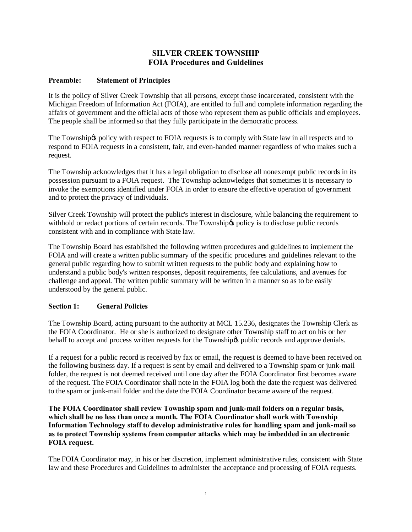# **SILVER CREEK TOWNSHIP FOIA Procedures and Guidelines**

## **Preamble: Statement of Principles**

It is the policy of Silver Creek Township that all persons, except those incarcerated, consistent with the Michigan Freedom of Information Act (FOIA), are entitled to full and complete information regarding the affairs of government and the official acts of those who represent them as public officials and employees. The people shall be informed so that they fully participate in the democratic process.

The Township to policy with respect to FOIA requests is to comply with State law in all respects and to respond to FOIA requests in a consistent, fair, and even-handed manner regardless of who makes such a request.

The Township acknowledges that it has a legal obligation to disclose all nonexempt public records in its possession pursuant to a FOIA request. The Township acknowledges that sometimes it is necessary to invoke the exemptions identified under FOIA in order to ensure the effective operation of government and to protect the privacy of individuals.

Silver Creek Township will protect the public's interest in disclosure, while balancing the requirement to withhold or redact portions of certain records. The Township to policy is to disclose public records consistent with and in compliance with State law.

The Township Board has established the following written procedures and guidelines to implement the FOIA and will create a written public summary of the specific procedures and guidelines relevant to the general public regarding how to submit written requests to the public body and explaining how to understand a public body's written responses, deposit requirements, fee calculations, and avenues for challenge and appeal. The written public summary will be written in a manner so as to be easily understood by the general public.

## **Section 1: General Policies**

The Township Board, acting pursuant to the authority at MCL 15.236, designates the Township Clerk as the FOIA Coordinator. He or she is authorized to designate other Township staff to act on his or her behalf to accept and process written requests for the Township to public records and approve denials.

If a request for a public record is received by fax or email, the request is deemed to have been received on the following business day. If a request is sent by email and delivered to a Township spam or junk-mail folder, the request is not deemed received until one day after the FOIA Coordinator first becomes aware of the request. The FOIA Coordinator shall note in the FOIA log both the date the request was delivered to the spam or junk-mail folder and the date the FOIA Coordinator became aware of the request.

**The FOIA Coordinator shall review Township spam and junk-mail folders on a regular basis, which shall be no less than once a month. The FOIA Coordinator shall work with Township Information Technology staff to develop administrative rules for handling spam and junk-mail so as to protect Township systems from computer attacks which may be imbedded in an electronic FOIA request.**

The FOIA Coordinator may, in his or her discretion, implement administrative rules, consistent with State law and these Procedures and Guidelines to administer the acceptance and processing of FOIA requests.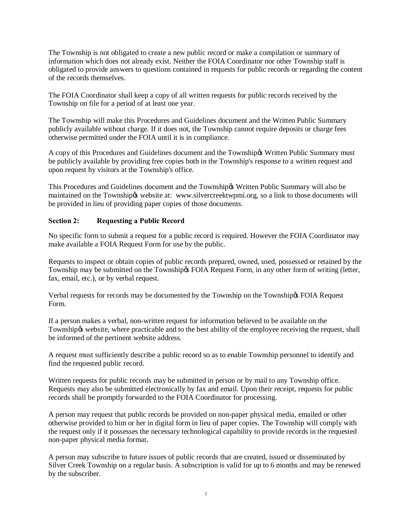The Township is not obligated to create a new public record or make a compilation or summary of information which does not already exist. Neither the FOIA Coordinator nor other Township staff is obligated to provide answers to questions contained in requests for public records or regarding the content of the records themselves.

The FOIA Coordinator shall keep a copy of all written requests for public records received by the Township on file for a period of at least one year.

The Township will make this Procedures and Guidelines document and the Written Public Summary publicly available without charge. If it does not, the Township cannot require deposits or charge fees otherwise permitted under the FOIA until it is in compliance.

A copy of this Procedures and Guidelines document and the Township & Written Public Summary must be publicly available by providing free copies both in the Township's response to a written request and upon request by visitors at the Township's office.

This Procedures and Guidelines document and the Township & Written Public Summary will also be maintained on the Township & website at: www.silvercreektwpmi.org, so a link to those documents will be provided in lieu of providing paper copies of those documents.

## **Section 2: Requesting a Public Record**

No specific form to submit a request for a public record is required. However the FOIA Coordinator may make available a FOIA Request Form for use by the public.

Requests to inspect or obtain copies of public records prepared, owned, used, possessed or retained by the Township may be submitted on the Township & FOIA Request Form, in any other form of writing (letter, fax, email, etc.), or by verbal request.

Verbal requests for records may be documented by the Township on the Township  $\beta$  FOIA Request Form.

If a person makes a verbal, non-written request for information believed to be available on the Township *toware website*, where practicable and to the best ability of the employee receiving the request, shall be informed of the pertinent website address.

A request must sufficiently describe a public record so as to enable Township personnel to identify and find the requested public record.

Written requests for public records may be submitted in person or by mail to any Township office. Requests may also be submitted electronically by fax and email. Upon their receipt, requests for public records shall be promptly forwarded to the FOIA Coordinator for processing.

A person may request that public records be provided on non-paper physical media, emailed or other otherwise provided to him or her in digital form in lieu of paper copies. The Township will comply with the request only if it possesses the necessary technological capability to provide records in the requested non-paper physical media format.

A person may subscribe to future issues of public records that are created, issued or disseminated by Silver Creek Township on a regular basis. A subscription is valid for up to 6 months and may be renewed by the subscriber.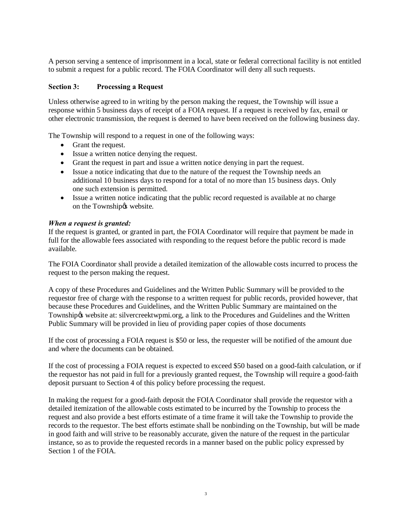A person serving a sentence of imprisonment in a local, state or federal correctional facility is not entitled to submit a request for a public record. The FOIA Coordinator will deny all such requests.

## **Section 3: Processing a Request**

Unless otherwise agreed to in writing by the person making the request, the Township will issue a response within 5 business days of receipt of a FOIA request. If a request is received by fax, email or other electronic transmission, the request is deemed to have been received on the following business day.

The Township will respond to a request in one of the following ways:

- · Grant the request.
- Issue a written notice denying the request.
- · Grant the request in part and issue a written notice denying in part the request.
- Issue a notice indicating that due to the nature of the request the Township needs an additional 10 business days to respond for a total of no more than 15 business days. Only one such extension is permitted.
- Issue a written notice indicating that the public record requested is available at no charge on the Township & website.

#### *When a request is granted:*

If the request is granted, or granted in part, the FOIA Coordinator will require that payment be made in full for the allowable fees associated with responding to the request before the public record is made available.

The FOIA Coordinator shall provide a detailed itemization of the allowable costs incurred to process the request to the person making the request.

A copy of these Procedures and Guidelines and the Written Public Summary will be provided to the requestor free of charge with the response to a written request for public records, provided however, that because these Procedures and Guidelines, and the Written Public Summary are maintained on the Township & website at: silvercreektwpmi.org, a link to the Procedures and Guidelines and the Written Public Summary will be provided in lieu of providing paper copies of those documents

If the cost of processing a FOIA request is \$50 or less, the requester will be notified of the amount due and where the documents can be obtained.

If the cost of processing a FOIA request is expected to exceed \$50 based on a good-faith calculation, or if the requestor has not paid in full for a previously granted request, the Township will require a good-faith deposit pursuant to Section 4 of this policy before processing the request.

In making the request for a good-faith deposit the FOIA Coordinator shall provide the requestor with a detailed itemization of the allowable costs estimated to be incurred by the Township to process the request and also provide a best efforts estimate of a time frame it will take the Township to provide the records to the requestor. The best efforts estimate shall be nonbinding on the Township, but will be made in good faith and will strive to be reasonably accurate, given the nature of the request in the particular instance, so as to provide the requested records in a manner based on the public policy expressed by Section 1 of the FOIA.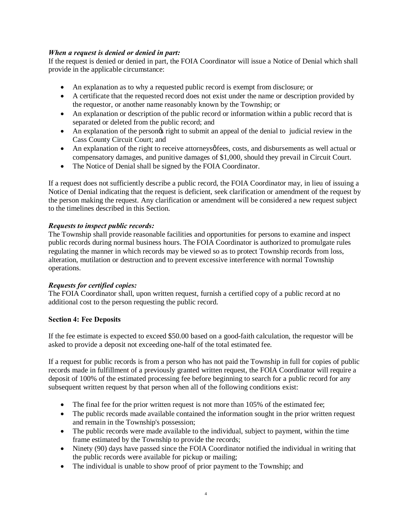## *When a request is denied or denied in part:*

If the request is denied or denied in part, the FOIA Coordinator will issue a Notice of Denial which shall provide in the applicable circumstance:

- · An explanation as to why a requested public record is exempt from disclosure; or
- · A certificate that the requested record does not exist under the name or description provided by the requestor, or another name reasonably known by the Township; or
- An explanation or description of the public record or information within a public record that is separated or deleted from the public record; and
- An explanation of the persongs right to submit an appeal of the denial to judicial review in the Cass County Circuit Court; and
- An explanation of the right to receive attorneys fees, costs, and disbursements as well actual or compensatory damages, and punitive damages of \$1,000, should they prevail in Circuit Court.
- The Notice of Denial shall be signed by the FOIA Coordinator.

If a request does not sufficiently describe a public record, the FOIA Coordinator may, in lieu of issuing a Notice of Denial indicating that the request is deficient, seek clarification or amendment of the request by the person making the request. Any clarification or amendment will be considered a new request subject to the timelines described in this Section.

## *Requests to inspect public records:*

The Township shall provide reasonable facilities and opportunities for persons to examine and inspect public records during normal business hours. The FOIA Coordinator is authorized to promulgate rules regulating the manner in which records may be viewed so as to protect Township records from loss, alteration, mutilation or destruction and to prevent excessive interference with normal Township operations.

## *Requests for certified copies:*

The FOIA Coordinator shall, upon written request, furnish a certified copy of a public record at no additional cost to the person requesting the public record.

# **Section 4: Fee Deposits**

If the fee estimate is expected to exceed \$50.00 based on a good-faith calculation, the requestor will be asked to provide a deposit not exceeding one-half of the total estimated fee.

If a request for public records is from a person who has not paid the Township in full for copies of public records made in fulfillment of a previously granted written request, the FOIA Coordinator will require a deposit of 100% of the estimated processing fee before beginning to search for a public record for any subsequent written request by that person when all of the following conditions exist:

- The final fee for the prior written request is not more than 105% of the estimated fee;
- The public records made available contained the information sought in the prior written request and remain in the Township's possession;
- The public records were made available to the individual, subject to payment, within the time frame estimated by the Township to provide the records;
- Ninety (90) days have passed since the FOIA Coordinator notified the individual in writing that the public records were available for pickup or mailing;
- The individual is unable to show proof of prior payment to the Township; and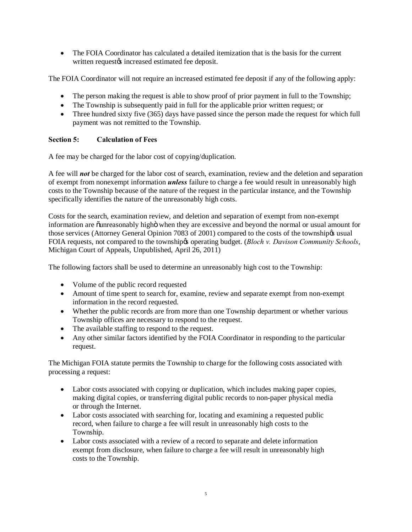• The FOIA Coordinator has calculated a detailed itemization that is the basis for the current written requestøs increased estimated fee deposit.

The FOIA Coordinator will not require an increased estimated fee deposit if any of the following apply:

- The person making the request is able to show proof of prior payment in full to the Township;
- The Township is subsequently paid in full for the applicable prior written request; or
- Three hundred sixty five (365) days have passed since the person made the request for which full payment was not remitted to the Township.

# **Section 5: Calculation of Fees**

A fee may be charged for the labor cost of copying/duplication.

A fee will *not* be charged for the labor cost of search, examination, review and the deletion and separation of exempt from nonexempt information *unless* failure to charge a fee would result in unreasonably high costs to the Township because of the nature of the request in the particular instance, and the Township specifically identifies the nature of the unreasonably high costs.

Costs for the search, examination review, and deletion and separation of exempt from non-exempt information are ounreasonably higho when they are excessive and beyond the normal or usual amount for those services (Attorney General Opinion 7083 of 2001) compared to the costs of the township  $\alpha$  usual FOIA requests, not compared to the township *operating budget.* (*Bloch v. Davison Community Schools*, Michigan Court of Appeals, Unpublished, April 26, 2011)

The following factors shall be used to determine an unreasonably high cost to the Township:

- Volume of the public record requested
- · Amount of time spent to search for, examine, review and separate exempt from non-exempt information in the record requested.
- · Whether the public records are from more than one Township department or whether various Township offices are necessary to respond to the request.
- The available staffing to respond to the request.
- Any other similar factors identified by the FOIA Coordinator in responding to the particular request.

The Michigan FOIA statute permits the Township to charge for the following costs associated with processing a request:

- Labor costs associated with copying or duplication, which includes making paper copies, making digital copies, or transferring digital public records to non-paper physical media or through the Internet.
- Labor costs associated with searching for, locating and examining a requested public record, when failure to charge a fee will result in unreasonably high costs to the Township.
- Labor costs associated with a review of a record to separate and delete information exempt from disclosure, when failure to charge a fee will result in unreasonably high costs to the Township.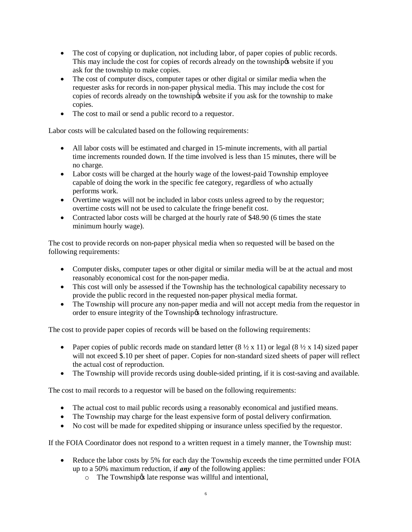- The cost of copying or duplication, not including labor, of paper copies of public records. This may include the cost for copies of records already on the townships website if you ask for the township to make copies.
- The cost of computer discs, computer tapes or other digital or similar media when the requester asks for records in non-paper physical media. This may include the cost for copies of records already on the township to website if you ask for the township to make copies.
- The cost to mail or send a public record to a requestor.

Labor costs will be calculated based on the following requirements:

- All labor costs will be estimated and charged in 15-minute increments, with all partial time increments rounded down. If the time involved is less than 15 minutes, there will be no charge.
- Labor costs will be charged at the hourly wage of the lowest-paid Township employee capable of doing the work in the specific fee category, regardless of who actually performs work.
- Overtime wages will not be included in labor costs unless agreed to by the requestor; overtime costs will not be used to calculate the fringe benefit cost.
- Contracted labor costs will be charged at the hourly rate of \$48.90 (6 times the state minimum hourly wage).

The cost to provide records on non-paper physical media when so requested will be based on the following requirements:

- Computer disks, computer tapes or other digital or similar media will be at the actual and most reasonably economical cost for the non-paper media.
- · This cost will only be assessed if the Township has the technological capability necessary to provide the public record in the requested non-paper physical media format.
- The Township will procure any non-paper media and will not accept media from the requestor in order to ensure integrity of the Township% technology infrastructure.

The cost to provide paper copies of records will be based on the following requirements:

- Paper copies of public records made on standard letter  $(8 \frac{1}{2} \times 11)$  or legal  $(8 \frac{1}{2} \times 14)$  sized paper will not exceed \$.10 per sheet of paper. Copies for non-standard sized sheets of paper will reflect the actual cost of reproduction.
- · The Township will provide records using double-sided printing, if it is cost-saving and available.

The cost to mail records to a requestor will be based on the following requirements:

- The actual cost to mail public records using a reasonably economical and justified means.
- · The Township may charge for the least expensive form of postal delivery confirmation.
- · No cost will be made for expedited shipping or insurance unless specified by the requestor.

If the FOIA Coordinator does not respond to a written request in a timely manner, the Township must:

- Reduce the labor costs by 5% for each day the Township exceeds the time permitted under FOIA up to a 50% maximum reduction, if *any* of the following applies:
	- $\circ$  The Township is late response was willful and intentional,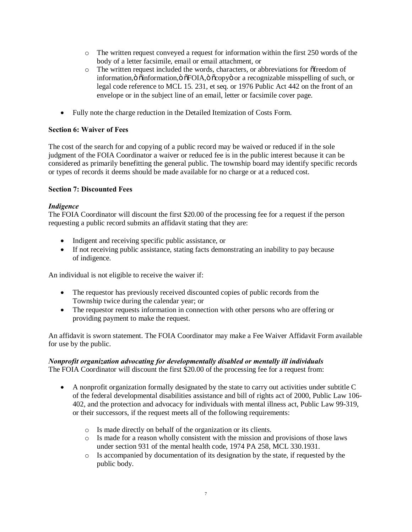- $\circ$  The written request conveyed a request for information within the first 250 words of the body of a letter facsimile, email or email attachment, or
- o The written request included the words, characters, or abbreviations for "freedom of information, ö õinformation, ö õFOIA, ö õcopyö or a recognizable misspelling of such, or legal code reference to MCL 15. 231, et seq. or 1976 Public Act 442 on the front of an envelope or in the subject line of an email, letter or facsimile cover page.
- · Fully note the charge reduction in the Detailed Itemization of Costs Form.

## **Section 6: Waiver of Fees**

The cost of the search for and copying of a public record may be waived or reduced if in the sole judgment of the FOIA Coordinator a waiver or reduced fee is in the public interest because it can be considered as primarily benefitting the general public. The township board may identify specific records or types of records it deems should be made available for no charge or at a reduced cost.

## **Section 7: Discounted Fees**

## *Indigence*

The FOIA Coordinator will discount the first \$20.00 of the processing fee for a request if the person requesting a public record submits an affidavit stating that they are:

- · Indigent and receiving specific public assistance, or
- If not receiving public assistance, stating facts demonstrating an inability to pay because of indigence.

An individual is not eligible to receive the waiver if:

- The requestor has previously received discounted copies of public records from the Township twice during the calendar year; or
- · The requestor requests information in connection with other persons who are offering or providing payment to make the request.

An affidavit is sworn statement. The FOIA Coordinator may make a Fee Waiver Affidavit Form available for use by the public.

# *Nonprofit organization advocating for developmentally disabled or mentally ill individuals*

The FOIA Coordinator will discount the first \$20.00 of the processing fee for a request from:

- · A nonprofit organization formally designated by the state to carry out activities under subtitle C of the federal developmental disabilities assistance and bill of rights act of 2000, Public Law 106- 402, and the protection and advocacy for individuals with mental illness act, Public Law 99-319, or their successors, if the request meets all of the following requirements:
	- o Is made directly on behalf of the organization or its clients.
	- o Is made for a reason wholly consistent with the mission and provisions of those laws under section 931 of the mental health code, 1974 PA 258, MCL 330.1931.
	- o Is accompanied by documentation of its designation by the state, if requested by the public body.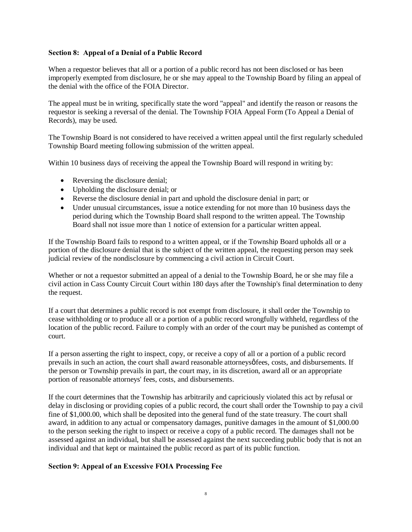#### **Section 8: Appeal of a Denial of a Public Record**

When a requestor believes that all or a portion of a public record has not been disclosed or has been improperly exempted from disclosure, he or she may appeal to the Township Board by filing an appeal of the denial with the office of the FOIA Director.

The appeal must be in writing, specifically state the word "appeal" and identify the reason or reasons the requestor is seeking a reversal of the denial. The Township FOIA Appeal Form (To Appeal a Denial of Records), may be used.

The Township Board is not considered to have received a written appeal until the first regularly scheduled Township Board meeting following submission of the written appeal.

Within 10 business days of receiving the appeal the Township Board will respond in writing by:

- Reversing the disclosure denial;
- Upholding the disclosure denial; or
- · Reverse the disclosure denial in part and uphold the disclosure denial in part; or
- Under unusual circumstances, issue a notice extending for not more than 10 business days the period during which the Township Board shall respond to the written appeal. The Township Board shall not issue more than 1 notice of extension for a particular written appeal.

If the Township Board fails to respond to a written appeal, or if the Township Board upholds all or a portion of the disclosure denial that is the subject of the written appeal, the requesting person may seek judicial review of the nondisclosure by commencing a civil action in Circuit Court.

Whether or not a requestor submitted an appeal of a denial to the Township Board, he or she may file a civil action in Cass County Circuit Court within 180 days after the Township's final determination to deny the request.

If a court that determines a public record is not exempt from disclosure, it shall order the Township to cease withholding or to produce all or a portion of a public record wrongfully withheld, regardless of the location of the public record. Failure to comply with an order of the court may be punished as contempt of court.

If a person asserting the right to inspect, copy, or receive a copy of all or a portion of a public record prevails in such an action, the court shall award reasonable attorneysø fees, costs, and disbursements. If the person or Township prevails in part, the court may, in its discretion, award all or an appropriate portion of reasonable attorneys' fees, costs, and disbursements.

If the court determines that the Township has arbitrarily and capriciously violated this act by refusal or delay in disclosing or providing copies of a public record, the court shall order the Township to pay a civil fine of \$1,000.00, which shall be deposited into the general fund of the state treasury. The court shall award, in addition to any actual or compensatory damages, punitive damages in the amount of \$1,000.00 to the person seeking the right to inspect or receive a copy of a public record. The damages shall not be assessed against an individual, but shall be assessed against the next succeeding public body that is not an individual and that kept or maintained the public record as part of its public function.

## **Section 9: Appeal of an Excessive FOIA Processing Fee**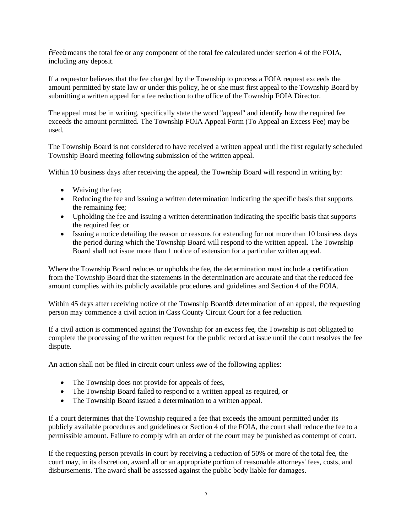$\delta$ Fee $\ddot{\text{o}}$  means the total fee or any component of the total fee calculated under section 4 of the FOIA, including any deposit.

If a requestor believes that the fee charged by the Township to process a FOIA request exceeds the amount permitted by state law or under this policy, he or she must first appeal to the Township Board by submitting a written appeal for a fee reduction to the office of the Township FOIA Director.

The appeal must be in writing, specifically state the word "appeal" and identify how the required fee exceeds the amount permitted. The Township FOIA Appeal Form (To Appeal an Excess Fee) may be used.

The Township Board is not considered to have received a written appeal until the first regularly scheduled Township Board meeting following submission of the written appeal.

Within 10 business days after receiving the appeal, the Township Board will respond in writing by:

- Waiving the fee;
- · Reducing the fee and issuing a written determination indicating the specific basis that supports the remaining fee;
- · Upholding the fee and issuing a written determination indicating the specific basis that supports the required fee; or
- Issuing a notice detailing the reason or reasons for extending for not more than 10 business days the period during which the Township Board will respond to the written appeal. The Township Board shall not issue more than 1 notice of extension for a particular written appeal.

Where the Township Board reduces or upholds the fee, the determination must include a certification from the Township Board that the statements in the determination are accurate and that the reduced fee amount complies with its publicly available procedures and guidelines and Section 4 of the FOIA.

Within 45 days after receiving notice of the Township Board& determination of an appeal, the requesting person may commence a civil action in Cass County Circuit Court for a fee reduction.

If a civil action is commenced against the Township for an excess fee, the Township is not obligated to complete the processing of the written request for the public record at issue until the court resolves the fee dispute.

An action shall not be filed in circuit court unless *one* of the following applies:

- The Township does not provide for appeals of fees,
- · The Township Board failed to respond to a written appeal as required, or
- The Township Board issued a determination to a written appeal.

If a court determines that the Township required a fee that exceeds the amount permitted under its publicly available procedures and guidelines or Section 4 of the FOIA, the court shall reduce the fee to a permissible amount. Failure to comply with an order of the court may be punished as contempt of court.

If the requesting person prevails in court by receiving a reduction of 50% or more of the total fee, the court may, in its discretion, award all or an appropriate portion of reasonable attorneys' fees, costs, and disbursements. The award shall be assessed against the public body liable for damages.